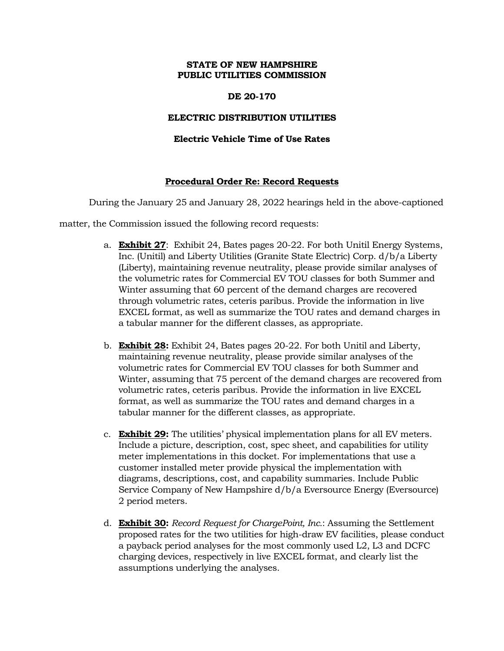### **STATE OF NEW HAMPSHIRE PUBLIC UTILITIES COMMISSION**

### **DE 20-170**

### **ELECTRIC DISTRIBUTION UTILITIES**

## **Electric Vehicle Time of Use Rates**

## **Procedural Order Re: Record Requests**

During the January 25 and January 28, 2022 hearings held in the above-captioned

matter, the Commission issued the following record requests:

- a. **Exhibit 27**: Exhibit 24, Bates pages 20-22. For both Unitil Energy Systems, Inc. (Unitil) and Liberty Utilities (Granite State Electric) Corp. d/b/a Liberty (Liberty), maintaining revenue neutrality, please provide similar analyses of the volumetric rates for Commercial EV TOU classes for both Summer and Winter assuming that 60 percent of the demand charges are recovered through volumetric rates, ceteris paribus. Provide the information in live EXCEL format, as well as summarize the TOU rates and demand charges in a tabular manner for the different classes, as appropriate.
- b. **Exhibit 28:** Exhibit 24, Bates pages 20-22. For both Unitil and Liberty, maintaining revenue neutrality, please provide similar analyses of the volumetric rates for Commercial EV TOU classes for both Summer and Winter, assuming that 75 percent of the demand charges are recovered from volumetric rates, ceteris paribus. Provide the information in live EXCEL format, as well as summarize the TOU rates and demand charges in a tabular manner for the different classes, as appropriate.
- c. **Exhibit 29:** The utilities' physical implementation plans for all EV meters. Include a picture, description, cost, spec sheet, and capabilities for utility meter implementations in this docket. For implementations that use a customer installed meter provide physical the implementation with diagrams, descriptions, cost, and capability summaries. Include Public Service Company of New Hampshire d/b/a Eversource Energy (Eversource) 2 period meters.
- d. **Exhibit 30:** *Record Request for ChargePoint, Inc.*: Assuming the Settlement proposed rates for the two utilities for high-draw EV facilities, please conduct a payback period analyses for the most commonly used L2, L3 and DCFC charging devices, respectively in live EXCEL format, and clearly list the assumptions underlying the analyses.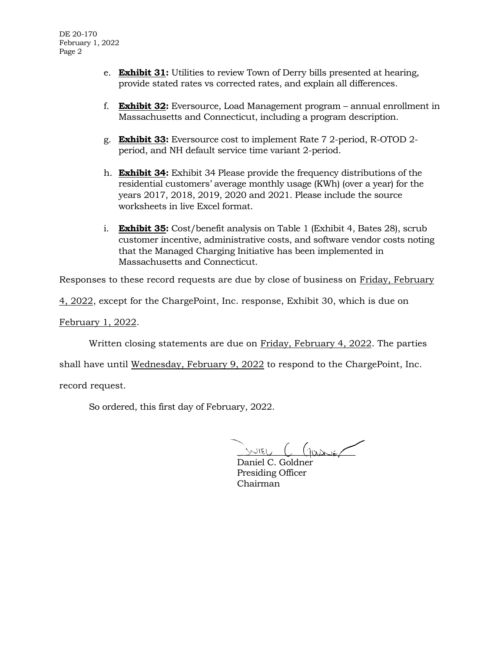- e. **Exhibit 31:** Utilities to review Town of Derry bills presented at hearing, provide stated rates vs corrected rates, and explain all differences.
- f. **Exhibit 32:** Eversource, Load Management program annual enrollment in Massachusetts and Connecticut, including a program description.
- g. **Exhibit 33:** Eversource cost to implement Rate 7 2-period, R-OTOD 2 period, and NH default service time variant 2-period.
- h. **Exhibit 34:** Exhibit 34 Please provide the frequency distributions of the residential customers' average monthly usage (KWh) (over a year) for the years 2017, 2018, 2019, 2020 and 2021. Please include the source worksheets in live Excel format.
- i. **Exhibit 35:** Cost/benefit analysis on Table 1 (Exhibit 4, Bates 28), scrub customer incentive, administrative costs, and software vendor costs noting that the Managed Charging Initiative has been implemented in Massachusetts and Connecticut.

Responses to these record requests are due by close of business on Friday, February

4, 2022, except for the ChargePoint, Inc. response, Exhibit 30, which is due on

February 1, 2022.

Written closing statements are due on Friday, February 4, 2022. The parties

shall have until Wednesday, February 9, 2022 to respond to the ChargePoint, Inc.

record request.

So ordered, this first day of February, 2022.

 $SNIEU$   $C$   $(QoA)$ 

Daniel C. Goldner Presiding Officer Chairman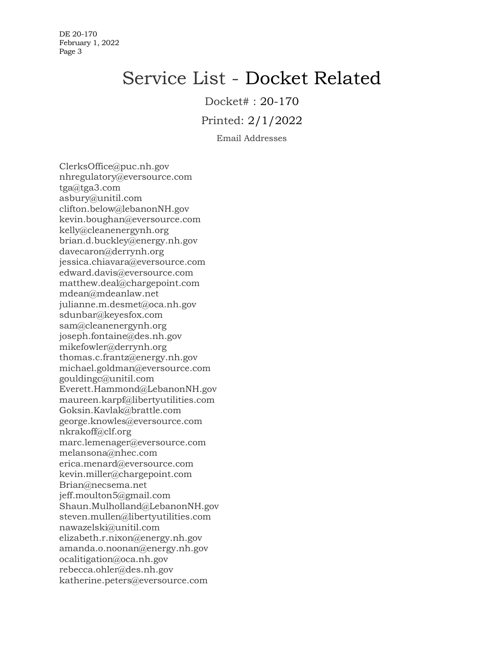DE 20-170 February 1, 2022 Page 3

# Service List - Docket Related

Docket# : 20-170

Printed: 2/1/2022

Email Addresses

ClerksOffice@puc.nh.gov nhregulatory@eversource.com tga@tga3.com asbury@unitil.com clifton.below@lebanonNH.gov kevin.boughan@eversource.com kelly@cleanenergynh.org brian.d.buckley@energy.nh.gov davecaron@derrynh.org jessica.chiavara@eversource.com edward.davis@eversource.com matthew.deal@chargepoint.com mdean@mdeanlaw.net julianne.m.desmet@oca.nh.gov sdunbar@keyesfox.com sam@cleanenergynh.org joseph.fontaine@des.nh.gov mikefowler@derrynh.org thomas.c.frantz@energy.nh.gov michael.goldman@eversource.com gouldingc@unitil.com Everett.Hammond@LebanonNH.gov maureen.karpf@libertyutilities.com Goksin.Kavlak@brattle.com george.knowles@eversource.com nkrakoff@clf.org marc.lemenager@eversource.com melansona@nhec.com erica.menard@eversource.com kevin.miller@chargepoint.com Brian@necsema.net jeff.moulton5@gmail.com Shaun.Mulholland@LebanonNH.gov steven.mullen@libertyutilities.com nawazelski@unitil.com elizabeth.r.nixon@energy.nh.gov amanda.o.noonan@energy.nh.gov ocalitigation@oca.nh.gov rebecca.ohler@des.nh.gov katherine.peters@eversource.com